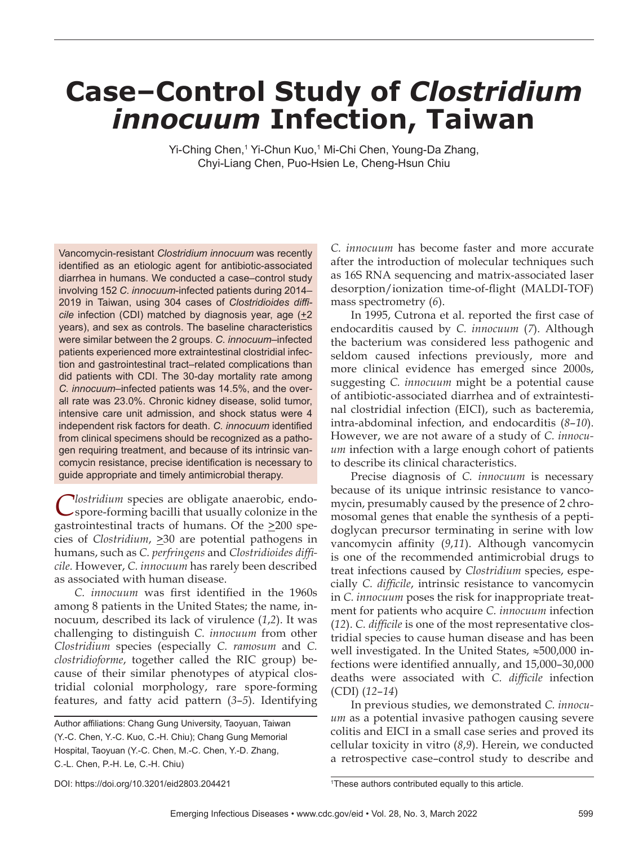# **Case–Control Study of** *Clostridium innocuum* **Infection, Taiwan**

Yi-Ching Chen,<sup>1</sup> Yi-Chun Kuo,<sup>1</sup> Mi-Chi Chen, Young-Da Zhang, Chyi-Liang Chen, Puo-Hsien Le, Cheng-Hsun Chiu

Vancomycin-resistant *Clostridium innocuum* was recently identified as an etiologic agent for antibiotic-associated diarrhea in humans. We conducted a case–control study involving 152 *C. innocuum*-infected patients during 2014– 2019 in Taiwan, using 304 cases of *Clostridioides diffi cile* infection (CDI) matched by diagnosis year, age ( $+2$ years), and sex as controls. The baseline characteristics were similar between the 2 groups. *C. innocuum*–infected patients experienced more extraintestinal clostridial infection and gastrointestinal tract–related complications than did patients with CDI. The 30-day mortality rate among *C. innocuum*–infected patients was 14.5%, and the overall rate was 23.0%. Chronic kidney disease, solid tumor, intensive care unit admission, and shock status were 4 independent risk factors for death. C. *innocuum* identified from clinical specimens should be recognized as a pathogen requiring treatment, and because of its intrinsic vancomycin resistance, precise identification is necessary to guide appropriate and timely antimicrobial therapy.

*Mostridium* species are obligate anaerobic, endospore-forming bacilli that usually colonize in the gastrointestinal tracts of humans. Of the  $\geq 200$  species of *Clostridium*,  $\geq 30$  are potential pathogens in humans, such as *C. perfringens* and *Clostridioides diffi cile.* However, *C. innocuum* has rarely been described as associated with human disease.

*C. innocuum* was first identified in the 1960s among 8 patients in the United States; the name, innocuum, described its lack of virulence (*1*,*2*). It was challenging to distinguish *C. innocuum* from other *Clostridium* species (especially *C. ramosum* and *C. clostridioforme*, together called the RIC group) because of their similar phenotypes of atypical clostridial colonial morphology, rare spore-forming features, and fatty acid pattern (*3*–*5*). Identifying *C. innocuum* has become faster and more accurate after the introduction of molecular techniques such as 16S RNA sequencing and matrix-associated laser desorption/ionization time-of-flight (MALDI-TOF) mass spectrometry (*6*).

In 1995, Cutrona et al. reported the first case of endocarditis caused by *C. innocuum* (*7*). Although the bacterium was considered less pathogenic and seldom caused infections previously, more and more clinical evidence has emerged since 2000s, suggesting *C. innocuum* might be a potential cause of antibiotic-associated diarrhea and of extraintestinal clostridial infection (EICI), such as bacteremia, intra-abdominal infection, and endocarditis (*8*–*10*). However, we are not aware of a study of *C. innocuum* infection with a large enough cohort of patients to describe its clinical characteristics.

Precise diagnosis of *C. innocuum* is necessary because of its unique intrinsic resistance to vancomycin, presumably caused by the presence of 2 chromosomal genes that enable the synthesis of a peptidoglycan precursor terminating in serine with low vancomycin affinity (9,11). Although vancomycin is one of the recommended antimicrobial drugs to treat infections caused by *Clostridium* species, especially *C. difficile*, intrinsic resistance to vancomycin in *C. innocuum* poses the risk for inappropriate treatment for patients who acquire *C. innocuum* infection (12). *C. difficile* is one of the most representative clostridial species to cause human disease and has been well investigated. In the United States, ≈500,000 infections were identified annually, and 15,000–30,000 deaths were associated with *C. difficile* infection (CDI) (*12*–*14*)

In previous studies, we demonstrated *C. innocuum* as a potential invasive pathogen causing severe colitis and EICI in a small case series and proved its cellular toxicity in vitro (*8*,*9*). Herein, we conducted a retrospective case–control study to describe and

Author affiliations: Chang Gung University, Taoyuan, Taiwan (Y.-C. Chen, Y.-C. Kuo, C.-H. Chiu); Chang Gung Memorial Hospital, Taoyuan (Y.-C. Chen, M.-C. Chen, Y.-D. Zhang, C.-L. Chen, P.-H. Le, C.-H. Chiu)

DOI: https://doi.org/10.3201/eid2803.204421 <sup>1</sup>

<sup>&</sup>lt;sup>1</sup>These authors contributed equally to this article.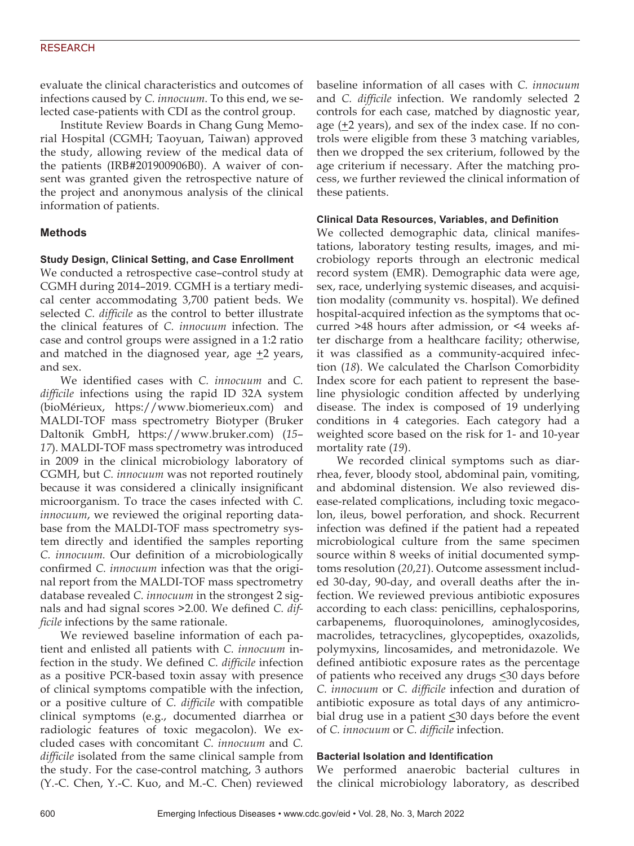#### RESEARCH

evaluate the clinical characteristics and outcomes of infections caused by *C. innocuum*. To this end, we selected case-patients with CDI as the control group.

Institute Review Boards in Chang Gung Memorial Hospital (CGMH; Taoyuan, Taiwan) approved the study, allowing review of the medical data of the patients (IRB#201900906B0). A waiver of consent was granted given the retrospective nature of the project and anonymous analysis of the clinical information of patients.

# **Methods**

#### **Study Design, Clinical Setting, and Case Enrollment**

We conducted a retrospective case–control study at CGMH during 2014–2019. CGMH is a tertiary medical center accommodating 3,700 patient beds. We selected *C. difficile* as the control to better illustrate the clinical features of *C. innocuum* infection. The case and control groups were assigned in a 1:2 ratio and matched in the diagnosed year, age  $\pm 2$  years, and sex.

We identified cases with *C. innocuum* and *C. difficile* infections using the rapid ID 32A system (bioMérieux, https://www.biomerieux.com) and MALDI-TOF mass spectrometry Biotyper (Bruker Daltonik GmbH, https://www.bruker.com) (*15*– *17*). MALDI-TOF mass spectrometry was introduced in 2009 in the clinical microbiology laboratory of CGMH, but *C. innocuum* was not reported routinely because it was considered a clinically insignificant microorganism. To trace the cases infected with *C. innocuum*, we reviewed the original reporting database from the MALDI-TOF mass spectrometry system directly and identified the samples reporting *C. innocuum.* Our definition of a microbiologically confirmed *C. innocuum* infection was that the original report from the MALDI-TOF mass spectrometry database revealed *C. innocuum* in the strongest 2 signals and had signal scores >2.00. We defined *C. difficile* infections by the same rationale.

We reviewed baseline information of each patient and enlisted all patients with *C. innocuum* infection in the study. We defined *C. difficile* infection as a positive PCR-based toxin assay with presence of clinical symptoms compatible with the infection, or a positive culture of *C. difficile* with compatible clinical symptoms (e.g., documented diarrhea or radiologic features of toxic megacolon). We excluded cases with concomitant *C. innocuum* and *C. difficile* isolated from the same clinical sample from the study. For the case-control matching, 3 authors (Y.-C. Chen, Y.-C. Kuo, and M.-C. Chen) reviewed

baseline information of all cases with *C. innocuum* and *C. difficile* infection. We randomly selected 2 controls for each case, matched by diagnostic year, age  $(\pm 2 \text{ years})$ , and sex of the index case. If no controls were eligible from these 3 matching variables, then we dropped the sex criterium, followed by the age criterium if necessary. After the matching process, we further reviewed the clinical information of these patients.

#### **Clinical Data Resources, Variables, and Definition**

We collected demographic data, clinical manifestations, laboratory testing results, images, and microbiology reports through an electronic medical record system (EMR). Demographic data were age, sex, race, underlying systemic diseases, and acquisition modality (community vs. hospital). We defined hospital-acquired infection as the symptoms that occurred >48 hours after admission, or <4 weeks after discharge from a healthcare facility; otherwise, it was classified as a community-acquired infection (*18*). We calculated the Charlson Comorbidity Index score for each patient to represent the baseline physiologic condition affected by underlying disease. The index is composed of 19 underlying conditions in 4 categories. Each category had a weighted score based on the risk for 1- and 10-year mortality rate (*19*).

We recorded clinical symptoms such as diarrhea, fever, bloody stool, abdominal pain, vomiting, and abdominal distension. We also reviewed disease-related complications, including toxic megacolon, ileus, bowel perforation, and shock. Recurrent infection was defined if the patient had a repeated microbiological culture from the same specimen source within 8 weeks of initial documented symptoms resolution (*20*,*21*). Outcome assessment included 30-day, 90-day, and overall deaths after the infection. We reviewed previous antibiotic exposures according to each class: penicillins, cephalosporins, carbapenems, fluoroquinolones, aminoglycosides, macrolides, tetracyclines, glycopeptides, oxazolids, polymyxins, lincosamides, and metronidazole. We defined antibiotic exposure rates as the percentage of patients who received any drugs <30 days before *C. innocuum* or *C. difficile* infection and duration of antibiotic exposure as total days of any antimicrobial drug use in a patient  $\leq 30$  days before the event of *C. innocuum* or *C. difficile* infection.

#### **Bacterial Isolation and Identification**

We performed anaerobic bacterial cultures in the clinical microbiology laboratory, as described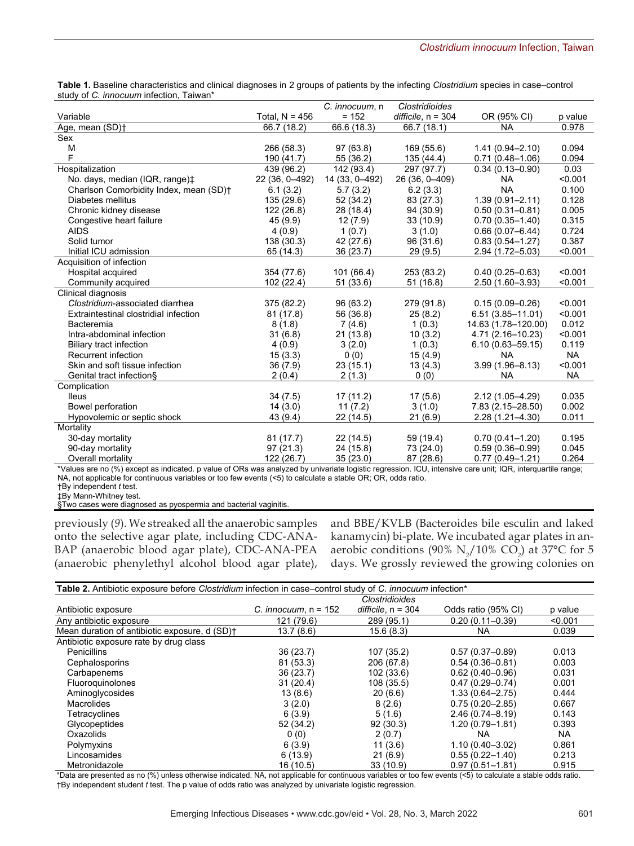|                                                | Table 1. Baseline characteristics and clinical diagnoses in 2 groups of patients by the infecting Clostridium species in case-control |
|------------------------------------------------|---------------------------------------------------------------------------------------------------------------------------------------|
| study of C, <i>innocuum</i> infection. Taiwan* |                                                                                                                                       |

|                                                                                     |                  | C. <i>innocuum</i> , n | <b>Clostridioides</b> |                                                                                              |           |
|-------------------------------------------------------------------------------------|------------------|------------------------|-----------------------|----------------------------------------------------------------------------------------------|-----------|
| Variable                                                                            | Total, $N = 456$ | $= 152$                | difficile, $n = 304$  | OR (95% CI)                                                                                  | p value   |
| Age, mean (SD) <sup>+</sup>                                                         | 66.7 (18.2)      | 66.6 (18.3)            | 66.7 (18.1)           | <b>NA</b>                                                                                    | 0.978     |
| Sex                                                                                 |                  |                        |                       |                                                                                              |           |
| М                                                                                   | 266 (58.3)       | 97 (63.8)              | 169 (55.6)            | $1.41(0.94 - 2.10)$                                                                          | 0.094     |
| F                                                                                   | 190 (41.7)       | 55 (36.2)              | 135 (44.4)            | $0.71(0.48 - 1.06)$                                                                          | 0.094     |
| Hospitalization                                                                     | 439 (96.2)       | 142 (93.4)             | 297 (97.7)            | $0.34(0.13 - 0.90)$                                                                          | 0.03      |
| No. days, median (IQR, range) $\ddagger$                                            | 22 (36, 0-492)   | 14 (33, 0-492)         | 26 (36, 0-409)        | <b>NA</b>                                                                                    | < 0.001   |
| Charlson Comorbidity Index, mean (SD)+                                              | 6.1(3.2)         | 5.7(3.2)               | 6.2(3.3)              | <b>NA</b>                                                                                    | 0.100     |
| Diabetes mellitus                                                                   | 135 (29.6)       | 52 (34.2)              | 83 (27.3)             | $1.39(0.91 - 2.11)$                                                                          | 0.128     |
| Chronic kidney disease                                                              | 122 (26.8)       | 28 (18.4)              | 94 (30.9)             | $0.50(0.31 - 0.81)$                                                                          | 0.005     |
| Congestive heart failure                                                            | 45 (9.9)         | 12(7.9)                | 33(10.9)              | $0.70(0.35 - 1.40)$                                                                          | 0.315     |
| <b>AIDS</b>                                                                         | 4(0.9)           | 1(0.7)                 | 3(1.0)                | $0.66(0.07 - 6.44)$                                                                          | 0.724     |
| Solid tumor                                                                         | 138 (30.3)       | 42 (27.6)              | 96 (31.6)             | $0.83(0.54 - 1.27)$                                                                          | 0.387     |
| Initial ICU admission                                                               | 65 (14.3)        | 36 (23.7)              | 29(9.5)               | 2.94 (1.72-5.03)                                                                             | < 0.001   |
| Acquisition of infection                                                            |                  |                        |                       |                                                                                              |           |
| Hospital acquired                                                                   | 354 (77.6)       | 101(66.4)              | 253 (83.2)            | $0.40(0.25 - 0.63)$                                                                          | < 0.001   |
| Community acquired                                                                  | 102 (22.4)       | 51(33.6)               | 51 (16.8)             | $2.50(1.60 - 3.93)$                                                                          | < 0.001   |
| Clinical diagnosis                                                                  |                  |                        |                       |                                                                                              |           |
| Clostridium-associated diarrhea                                                     | 375 (82.2)       | 96 (63.2)              | 279 (91.8)            | $0.15(0.09 - 0.26)$                                                                          | < 0.001   |
| Extraintestinal clostridial infection                                               | 81 (17.8)        | 56 (36.8)              | 25(8.2)               | $6.51(3.85 - 11.01)$                                                                         | < 0.001   |
| Bacteremia                                                                          | 8(1.8)           | 7 (4.6)                | 1(0.3)                | 14.63 (1.78-120.00)                                                                          | 0.012     |
| Intra-abdominal infection                                                           | 31(6.8)          | 21(13.8)               | 10(3.2)               | 4.71 (2.16-10.23)                                                                            | < 0.001   |
| Biliary tract infection                                                             | 4(0.9)           | 3(2.0)                 | 1(0.3)                | $6.10(0.63 - 59.15)$                                                                         | 0.119     |
| Recurrent infection                                                                 | 15(3.3)          | 0(0)                   | 15(4.9)               | <b>NA</b>                                                                                    | <b>NA</b> |
| Skin and soft tissue infection                                                      | 36 (7.9)         | 23(15.1)               | 13(4.3)               | $3.99(1.96 - 8.13)$                                                                          | < 0.001   |
| Genital tract infection§                                                            | 2(0.4)           | 2(1.3)                 | 0(0)                  | <b>NA</b>                                                                                    | <b>NA</b> |
| Complication                                                                        |                  |                        |                       |                                                                                              |           |
| <b>lleus</b>                                                                        | 34(7.5)          | 17 (11.2)              | 17(5.6)               | $2.12(1.05 - 4.29)$                                                                          | 0.035     |
| Bowel perforation                                                                   | 14(3.0)          | 11(7.2)                | 3(1.0)                | 7.83 (2.15-28.50)                                                                            | 0.002     |
| Hypovolemic or septic shock                                                         | 43 (9.4)         | 22 (14.5)              | 21(6.9)               | 2.28 (1.21-4.30)                                                                             | 0.011     |
| Mortality                                                                           |                  |                        |                       |                                                                                              |           |
| 30-day mortality                                                                    | 81(17.7)         | 22(14.5)               | 59 (19.4)             | $0.70(0.41 - 1.20)$                                                                          | 0.195     |
| 90-day mortality                                                                    | 97(21.3)         | 24 (15.8)              | 73 (24.0)             | $0.59(0.36 - 0.99)$                                                                          | 0.045     |
| Overall mortality                                                                   | 122 (26.7)       | 35(23.0)               | 87 (28.6)             | $0.77(0.49 - 1.21)$                                                                          | 0.264     |
| $\lambda$ /alues are no ( $\theta$ ) execution indicated in value of $\Omega$ alues |                  |                        |                       | analyzed by university legistic regression, IOL, intensive sere unit. IOD, interguestile can |           |

\*Values are no (%) except as indicated. p value of ORs was analyzed by univariate logistic regression. ICU, intensive care unit; IQR, interquartile range; NA, not applicable for continuous variables or too few events (<5) to calculate a stable OR; OR, odds ratio.

†By independent *t* test. ‡By Mann-Whitney test.

§Two cases were diagnosed as pyospermia and bacterial vaginitis.

previously (*9*). We streaked all the anaerobic samples onto the selective agar plate, including CDC-ANA-BAP (anaerobic blood agar plate), CDC-ANA-PEA (anaerobic phenylethyl alcohol blood agar plate),

and BBE/KVLB (Bacteroides bile esculin and laked kanamycin) bi-plate. We incubated agar plates in anaerobic conditions (90%  $\rm N_2/10\%$  CO<sub>2</sub>) at 37°C for 5 days. We grossly reviewed the growing colonies on

| <b>Table 2.</b> Antibiotic exposure before <i>Clostridium</i> infection in case–control study of <i>C. innocuum</i> infection* |                        |                       |                     |           |
|--------------------------------------------------------------------------------------------------------------------------------|------------------------|-----------------------|---------------------|-----------|
|                                                                                                                                |                        | <b>Clostridioides</b> |                     |           |
| Antibiotic exposure                                                                                                            | C. innocuum. $n = 152$ | difficile, $n = 304$  | Odds ratio (95% CI) | p value   |
| Any antibiotic exposure                                                                                                        | 121 (79.6)             | 289 (95.1)            | $0.20(0.11 - 0.39)$ | < 0.001   |
| Mean duration of antibiotic exposure, d (SD)+                                                                                  | 13.7(8.6)              | 15.6(8.3)             | NA                  | 0.039     |
| Antibiotic exposure rate by drug class                                                                                         |                        |                       |                     |           |
| <b>Penicillins</b>                                                                                                             | 36(23.7)               | 107 (35.2)            | $0.57(0.37 - 0.89)$ | 0.013     |
| Cephalosporins                                                                                                                 | 81 (53.3)              | 206 (67.8)            | $0.54(0.36 - 0.81)$ | 0.003     |
| Carbapenems                                                                                                                    | 36(23.7)               | 102(33.6)             | $0.62(0.40 - 0.96)$ | 0.031     |
| Fluoroguinolones                                                                                                               | 31(20.4)               | 108 (35.5)            | $0.47(0.29 - 0.74)$ | 0.001     |
| Aminoglycosides                                                                                                                | 13(8.6)                | 20(6.6)               | $1.33(0.64 - 2.75)$ | 0.444     |
| <b>Macrolides</b>                                                                                                              | 3(2.0)                 | 8(2.6)                | $0.75(0.20 - 2.85)$ | 0.667     |
| Tetracyclines                                                                                                                  | 6(3.9)                 | 5(1.6)                | $2.46(0.74 - 8.19)$ | 0.143     |
| Glycopeptides                                                                                                                  | 52 (34.2)              | 92(30.3)              | $1.20(0.79 - 1.81)$ | 0.393     |
| Oxazolids                                                                                                                      | 0(0)                   | 2(0.7)                | <b>NA</b>           | <b>NA</b> |
| Polymyxins                                                                                                                     | 6(3.9)                 | 11(3.6)               | $1.10(0.40 - 3.02)$ | 0.861     |
| Lincosamides                                                                                                                   | 6(13.9)                | 21(6.9)               | $0.55(0.22 - 1.40)$ | 0.213     |
| Metronidazole                                                                                                                  | 16(10.5)               | 33(10.9)              | $0.97(0.51 - 1.81)$ | 0.915     |

\*Data are presented as no (%) unless otherwise indicated. NA, not applicable for continuous variables or too few events (<5) to calculate a stable odds ratio. †By independent student *t* test. The p value of odds ratio was analyzed by univariate logistic regression.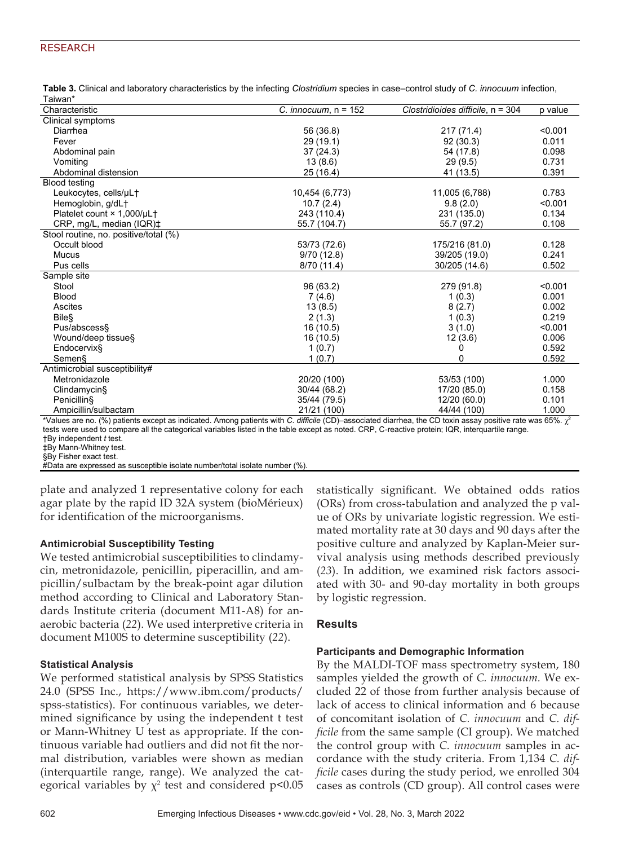# RESEARCH

| Table 3. Clinical and laboratory characteristics by the infecting Clostridium species in case-control study of C. innocuum infection, |  |
|---------------------------------------------------------------------------------------------------------------------------------------|--|
| Taiwan*                                                                                                                               |  |

| . uwa.<br>Characteristic              | C. innocuum, $n = 152$ | Clostridioides difficile, $n = 304$ | p value      |
|---------------------------------------|------------------------|-------------------------------------|--------------|
| Clinical symptoms                     |                        |                                     |              |
| Diarrhea                              | 56 (36.8)              | 217 (71.4)                          | < 0.001      |
| Fever                                 | 29 (19.1)              | 92(30.3)                            | 0.011        |
| Abdominal pain                        | 37(24.3)               | 54 (17.8)                           | 0.098        |
| Vomiting                              | 13(8.6)                | 29(9.5)                             | 0.731        |
| Abdominal distension                  | 25 (16.4)              | 41 (13.5)                           | 0.391        |
| <b>Blood testing</b>                  |                        |                                     |              |
| Leukocytes, cells/µL†                 | 10,454 (6,773)         | 11,005 (6,788)                      | 0.783        |
| Hemoglobin, g/dL+                     | 10.7(2.4)              | 9.8(2.0)                            | < 0.001      |
| Platelet count × 1,000/µL†            | 243 (110.4)            | 231 (135.0)                         | 0.134        |
| CRP, mg/L, median (IQR)‡              | 55.7 (104.7)           | 55.7 (97.2)                         | 0.108        |
| Stool routine, no. positive/total (%) |                        |                                     |              |
| Occult blood                          | 53/73 (72.6)           | 175/216 (81.0)                      | 0.128        |
| <b>Mucus</b>                          | 9/70(12.8)             | 39/205 (19.0)                       | 0.241        |
| Pus cells                             | 8/70 (11.4)            | 30/205 (14.6)                       | 0.502        |
| Sample site                           |                        |                                     |              |
| Stool                                 | 96 (63.2)              | 279 (91.8)                          | < 0.001      |
| <b>Blood</b>                          | 7(4.6)                 | 1(0.3)                              | 0.001        |
| Ascites                               | 13(8.5)                | 8(2.7)                              | 0.002        |
| <b>Bile</b> <sup>S</sup>              | 2(1.3)                 | 1(0.3)                              | 0.219        |
| Pus/abscess§                          | 16 (10.5)              | 3(1.0)                              | < 0.001      |
| Wound/deep tissue§                    | 16 (10.5)              | 12(3.6)                             | 0.006        |
| Endocervix§                           | 1(0.7)                 | 0                                   | 0.592        |
| Semen§                                | 1(0.7)                 | 0                                   | 0.592        |
| Antimicrobial susceptibility#         |                        |                                     |              |
| Metronidazole                         | 20/20 (100)            | 53/53 (100)                         | 1.000        |
| Clindamycin§                          | 30/44 (68.2)           | 17/20 (85.0)                        | 0.158        |
| Penicillin§                           | 35/44 (79.5)           | 12/20 (60.0)                        | 0.101        |
| Ampicillin/sulbactam                  | 21/21 (100)            | 44/44 (100)                         | 1.000        |
|                                       | $\cdots$ $\cdots$      |                                     | $\sim -\sim$ |

\*Values are no. (%) patients except as indicated. Among patients with *C*. *difficile* (CD)–associated diarrhea, the CD toxin assay positive rate was 65%. χ<sup>2</sup> tests were used to compare all the categorical variables listed in the table except as noted. CRP, C-reactive protein; IQR, interquartile range. †By independent *t* test.

‡By Mann-Whitney test.

§By Fisher exact test.

#Data are expressed as susceptible isolate number/total isolate number (%).

plate and analyzed 1 representative colony for each agar plate by the rapid ID 32A system (bioMérieux) for identification of the microorganisms.

# **Antimicrobial Susceptibility Testing**

We tested antimicrobial susceptibilities to clindamycin, metronidazole, penicillin, piperacillin, and ampicillin/sulbactam by the break-point agar dilution method according to Clinical and Laboratory Standards Institute criteria (document M11-A8) for anaerobic bacteria (*22*). We used interpretive criteria in document M100S to determine susceptibility (*22*).

# **Statistical Analysis**

We performed statistical analysis by SPSS Statistics 24.0 (SPSS Inc., https://www.ibm.com/products/ spss-statistics). For continuous variables, we determined significance by using the independent t test or Mann-Whitney U test as appropriate. If the continuous variable had outliers and did not fit the normal distribution, variables were shown as median (interquartile range, range). We analyzed the categorical variables by  $\chi^2$  test and considered p<0.05 statistically significant. We obtained odds ratios (ORs) from cross-tabulation and analyzed the p value of ORs by univariate logistic regression. We estimated mortality rate at 30 days and 90 days after the positive culture and analyzed by Kaplan-Meier survival analysis using methods described previously (*23*). In addition, we examined risk factors associated with 30- and 90-day mortality in both groups by logistic regression.

# **Results**

# **Participants and Demographic Information**

By the MALDI-TOF mass spectrometry system, 180 samples yielded the growth of *C. innocuum.* We excluded 22 of those from further analysis because of lack of access to clinical information and 6 because of concomitant isolation of *C. innocuum* and *C. difficile* from the same sample (CI group). We matched the control group with *C. innocuum* samples in accordance with the study criteria. From 1,134 *C. difficile* cases during the study period, we enrolled 304 cases as controls (CD group). All control cases were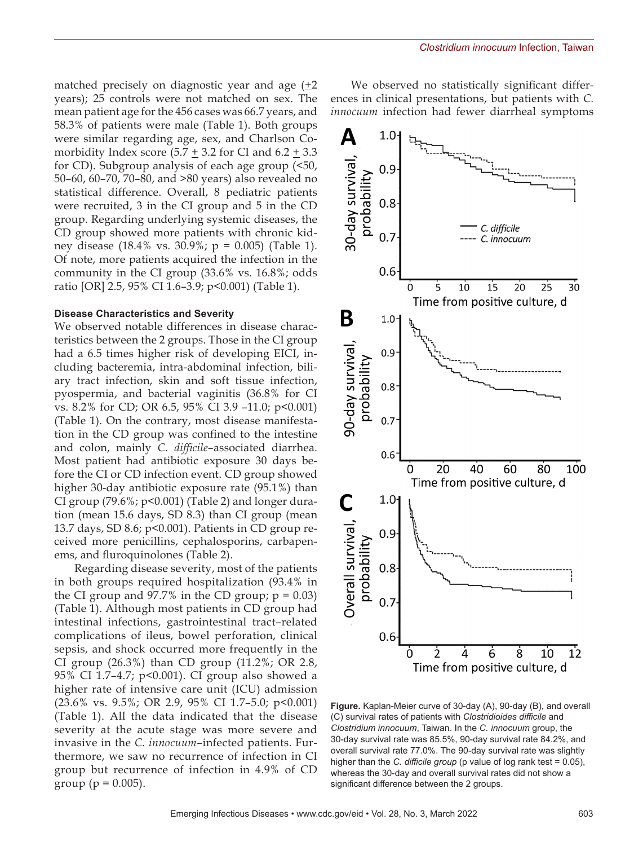matched precisely on diagnostic year and age  $(12)$ years); 25 controls were not matched on sex. The mean patient age for the 456 cases was 66.7 years, and 58.3% of patients were male (Table 1). Both groups were similar regarding age, sex, and Charlson Comorbidity Index score  $(5.7 \pm 3.2$  for CI and  $6.2 \pm 3.3$ for CD). Subgroup analysis of each age group (<50, 50–60, 60–70, 70–80, and >80 years) also revealed no statistical difference. Overall, 8 pediatric patients were recruited, 3 in the CI group and 5 in the CD group. Regarding underlying systemic diseases, the CD group showed more patients with chronic kidney disease (18.4% vs. 30.9%; p = 0.005) (Table 1). Of note, more patients acquired the infection in the community in the CI group (33.6% vs. 16.8%; odds ratio [OR] 2.5, 95% CI 1.6–3.9; p<0.001) (Table 1).

#### **Disease Characteristics and Severity**

We observed notable differences in disease characteristics between the 2 groups. Those in the CI group had a 6.5 times higher risk of developing EICI, including bacteremia, intra-abdominal infection, biliary tract infection, skin and soft tissue infection, pyospermia, and bacterial vaginitis (36.8% for CI vs. 8.2% for CD; OR 6.5, 95% CI 3.9 –11.0; p<0.001) (Table 1). On the contrary, most disease manifestation in the CD group was confined to the intestine and colon, mainly *C. difficile*–associated diarrhea. Most patient had antibiotic exposure 30 days before the CI or CD infection event. CD group showed higher 30-day antibiotic exposure rate (95.1%) than CI group  $(79.6\%; p<0.001)$  (Table 2) and longer duration (mean 15.6 days, SD 8.3) than CI group (mean 13.7 days, SD 8.6; p<0.001). Patients in CD group received more penicillins, cephalosporins, carbapenems, and fluroquinolones (Table 2).

Regarding disease severity, most of the patients in both groups required hospitalization (93.4% in the CI group and 97.7% in the CD group;  $p = 0.03$ ) (Table 1). Although most patients in CD group had intestinal infections, gastrointestinal tract–related complications of ileus, bowel perforation, clinical sepsis, and shock occurred more frequently in the CI group (26.3%) than CD group (11.2%; OR 2.8, 95% CI 1.7–4.7; p<0.001). CI group also showed a higher rate of intensive care unit (ICU) admission (23.6% vs. 9.5%; OR 2.9, 95% CI 1.7–5.0; p<0.001) (Table 1). All the data indicated that the disease severity at the acute stage was more severe and invasive in the *C. innocuum*–infected patients. Furthermore, we saw no recurrence of infection in CI group but recurrence of infection in 4.9% of CD group ( $p = 0.005$ ).

We observed no statistically significant differences in clinical presentations, but patients with *C. innocuum* infection had fewer diarrheal symptoms



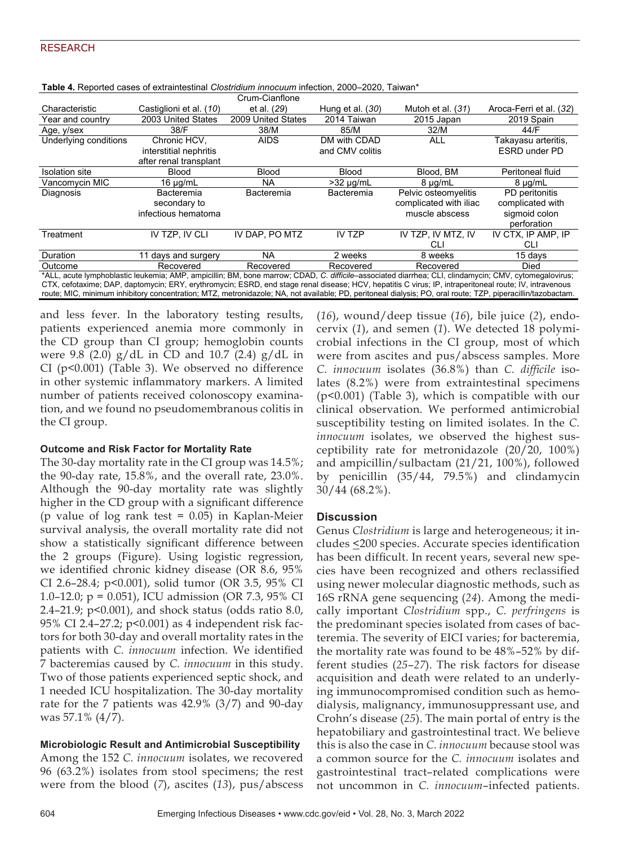|                                                                                                                                                             |                         | Crum-Cianflone     |                    |                        |                         |
|-------------------------------------------------------------------------------------------------------------------------------------------------------------|-------------------------|--------------------|--------------------|------------------------|-------------------------|
| Characteristic                                                                                                                                              | Castiglioni et al. (10) | et al. (29)        | Hung et al. $(30)$ | Mutoh et al. (31)      | Aroca-Ferri et al. (32) |
| Year and country                                                                                                                                            | 2003 United States      | 2009 United States | 2014 Taiwan        | 2015 Japan             | 2019 Spain              |
| Age, y/sex                                                                                                                                                  | 38/F                    | 38/M               | 85/M               | 32/M                   | 44/F                    |
| Underlying conditions                                                                                                                                       | Chronic HCV.            | <b>AIDS</b>        | DM with CDAD       | <b>ALL</b>             | Takayasu arteritis,     |
|                                                                                                                                                             | interstitial nephritis  |                    | and CMV colitis    |                        | <b>ESRD under PD</b>    |
|                                                                                                                                                             | after renal transplant  |                    |                    |                        |                         |
| <b>Isolation</b> site                                                                                                                                       | Blood                   | Blood              | Blood              | Blood, BM              | Peritoneal fluid        |
| Vancomycin MIC                                                                                                                                              | 16 $\mu$ g/mL           | NA.                | $>32 \mu g/mL$     | $8 \mu g/mL$           | $8 \mu g/mL$            |
| Diagnosis                                                                                                                                                   | Bacteremia              | Bacteremia         | Bacteremia         | Pelvic osteomyelitis   | PD peritonitis          |
|                                                                                                                                                             | secondary to            |                    |                    | complicated with iliac | complicated with        |
|                                                                                                                                                             | infectious hematoma     |                    |                    | muscle abscess         | sigmoid colon           |
|                                                                                                                                                             |                         |                    |                    |                        | perforation             |
| Treatment                                                                                                                                                   | IV TZP. IV CLI          | IV DAP. PO MTZ     | <b>IV TZP</b>      | IV TZP, IV MTZ, IV     | IV CTX, IP AMP, IP      |
|                                                                                                                                                             |                         |                    |                    | CLI                    | CLI                     |
| Duration                                                                                                                                                    | 11 days and surgery     | NA.                | 2 weeks            | 8 weeks                | 15 davs                 |
| Outcome                                                                                                                                                     | Recovered               | Recovered          | Recovered          | Recovered              | Died                    |
| *ALL, acute lymphoblastic leukemia; AMP, ampicillin; BM, bone marrow; CDAD, C. difficile-associated diarrhea; CLI, clindamycin; CMV, cytomegalovirus;       |                         |                    |                    |                        |                         |
| CTX, cefotaxime; DAP, daptomycin; ERY, erythromycin; ESRD, end stage renal disease; HCV, hepatitis C virus; IP, intraperitoneal route; IV, intravenous      |                         |                    |                    |                        |                         |
| route; MIC, minimum inhibitory concentration; MTZ, metronidazole; NA, not available; PD, peritoneal dialysis; PO, oral route; TZP, piperacillin/tazobactam. |                         |                    |                    |                        |                         |

**Table 4.** Reported cases of extraintestinal *Clostridium innocuum* infection, 2000–2020, Taiwan\*

and less fever. In the laboratory testing results, patients experienced anemia more commonly in the CD group than CI group; hemoglobin counts were 9.8 (2.0)  $g/dL$  in CD and 10.7 (2.4)  $g/dL$  in CI (p<0.001) (Table 3). We observed no difference in other systemic inflammatory markers. A limited number of patients received colonoscopy examination, and we found no pseudomembranous colitis in the CI group.

#### **Outcome and Risk Factor for Mortality Rate**

The 30-day mortality rate in the CI group was 14.5%; the 90-day rate, 15.8%, and the overall rate, 23.0%. Although the 90-day mortality rate was slightly higher in the CD group with a significant difference (p value of log rank test  $= 0.05$ ) in Kaplan-Meier survival analysis, the overall mortality rate did not show a statistically significant difference between the 2 groups (Figure). Using logistic regression, we identified chronic kidney disease (OR 8.6, 95% CI 2.6–28.4; p<0.001), solid tumor (OR 3.5, 95% CI 1.0–12.0; p = 0.051), ICU admission (OR 7.3, 95% CI 2.4–21.9; p<0.001), and shock status (odds ratio 8.0, 95% CI 2.4–27.2; p<0.001) as 4 independent risk factors for both 30-day and overall mortality rates in the patients with *C. innocuum* infection. We identified 7 bacteremias caused by *C. innocuum* in this study. Two of those patients experienced septic shock, and 1 needed ICU hospitalization. The 30-day mortality rate for the 7 patients was 42.9% (3/7) and 90-day was 57.1% (4/7).

# **Microbiologic Result and Antimicrobial Susceptibility**

Among the 152 *C. innocuum* isolates, we recovered 96 (63.2%) isolates from stool specimens; the rest were from the blood (*7*), ascites (*13*), pus/abscess

(*16*), wound/deep tissue (*16*), bile juice (*2*), endocervix (*1*), and semen (*1*). We detected 18 polymicrobial infections in the CI group, most of which were from ascites and pus/abscess samples. More *C. innocuum* isolates (36.8%) than *C. difficile* isolates (8.2%) were from extraintestinal specimens (p<0.001) (Table 3), which is compatible with our clinical observation. We performed antimicrobial susceptibility testing on limited isolates. In the *C. innocuum* isolates, we observed the highest susceptibility rate for metronidazole (20/20, 100%) and ampicillin/sulbactam (21/21, 100%), followed by penicillin (35/44, 79.5%) and clindamycin 30/44 (68.2%).

#### **Discussion**

Genus *Clostridium* is large and heterogeneous; it includes <200 species. Accurate species identification has been difficult. In recent years, several new species have been recognized and others reclassified using newer molecular diagnostic methods, such as 16S rRNA gene sequencing (*24*). Among the medically important *Clostridium* spp., *C. perfringens* is the predominant species isolated from cases of bacteremia. The severity of EICI varies; for bacteremia, the mortality rate was found to be 48%–52% by different studies (*25*–*27*). The risk factors for disease acquisition and death were related to an underlying immunocompromised condition such as hemodialysis, malignancy, immunosuppressant use, and Crohn's disease (*25*). The main portal of entry is the hepatobiliary and gastrointestinal tract. We believe this is also the case in *C. innocuum* because stool was a common source for the *C. innocuum* isolates and gastrointestinal tract–related complications were not uncommon in *C. innocuum*–infected patients.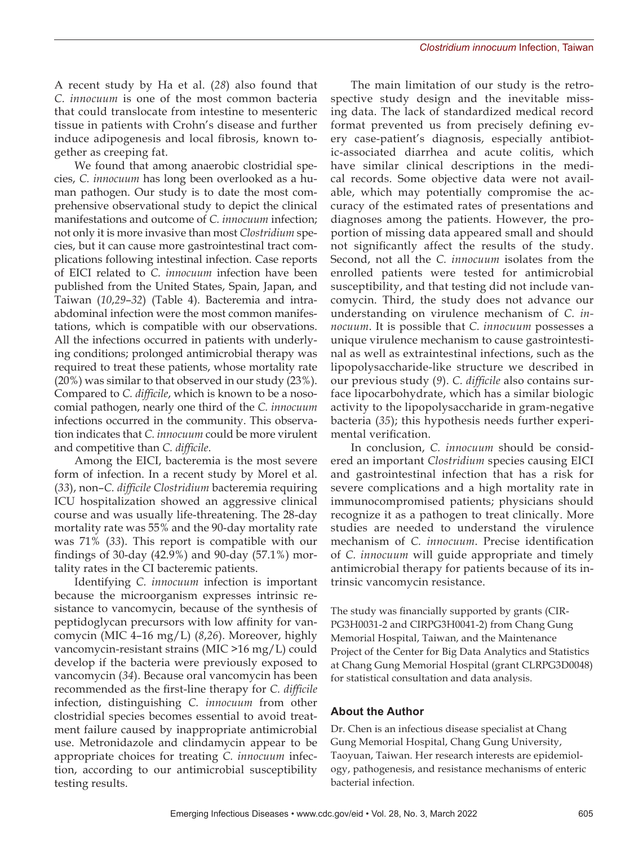A recent study by Ha et al. (*28*) also found that *C. innocuum* is one of the most common bacteria that could translocate from intestine to mesenteric tissue in patients with Crohn's disease and further induce adipogenesis and local fibrosis, known together as creeping fat.

We found that among anaerobic clostridial species, *C. innocuum* has long been overlooked as a human pathogen. Our study is to date the most comprehensive observational study to depict the clinical manifestations and outcome of *C. innocuum* infection; not only it is more invasive than most *Clostridium* species, but it can cause more gastrointestinal tract complications following intestinal infection. Case reports of EICI related to *C. innocuum* infection have been published from the United States, Spain, Japan, and Taiwan (*10*,*29*–*32*) (Table 4). Bacteremia and intraabdominal infection were the most common manifestations, which is compatible with our observations. All the infections occurred in patients with underlying conditions; prolonged antimicrobial therapy was required to treat these patients, whose mortality rate (20%) was similar to that observed in our study (23%). Compared to *C. difficile*, which is known to be a nosocomial pathogen, nearly one third of the *C. innocuum* infections occurred in the community. This observation indicates that *C. innocuum* could be more virulent and competitive than *C. difficile*.

Among the EICI, bacteremia is the most severe form of infection. In a recent study by Morel et al. (*33*), non–*C. difficile Clostridium* bacteremia requiring ICU hospitalization showed an aggressive clinical course and was usually life-threatening. The 28-day mortality rate was 55% and the 90-day mortality rate was 71% (*33*). This report is compatible with our findings of 30-day (42.9%) and 90-day (57.1%) mortality rates in the CI bacteremic patients.

Identifying *C. innocuum* infection is important because the microorganism expresses intrinsic resistance to vancomycin, because of the synthesis of peptidoglycan precursors with low affinity for vancomycin (MIC 4–16 mg/L) (*8*,*26*). Moreover, highly vancomycin-resistant strains (MIC >16 mg/L) could develop if the bacteria were previously exposed to vancomycin (*34*). Because oral vancomycin has been recommended as the first-line therapy for *C. difficile* infection, distinguishing *C. innocuum* from other clostridial species becomes essential to avoid treatment failure caused by inappropriate antimicrobial use. Metronidazole and clindamycin appear to be appropriate choices for treating *C. innocuum* infection, according to our antimicrobial susceptibility testing results.

The main limitation of our study is the retrospective study design and the inevitable missing data. The lack of standardized medical record format prevented us from precisely defining every case-patient's diagnosis, especially antibiotic-associated diarrhea and acute colitis, which have similar clinical descriptions in the medical records. Some objective data were not available, which may potentially compromise the accuracy of the estimated rates of presentations and diagnoses among the patients. However, the proportion of missing data appeared small and should not significantly affect the results of the study. Second, not all the *C. innocuum* isolates from the enrolled patients were tested for antimicrobial susceptibility, and that testing did not include vancomycin. Third, the study does not advance our understanding on virulence mechanism of *C. innocuum*. It is possible that *C. innocuum* possesses a unique virulence mechanism to cause gastrointestinal as well as extraintestinal infections, such as the lipopolysaccharide-like structure we described in our previous study (*9*). *C. difficile* also contains surface lipocarbohydrate, which has a similar biologic activity to the lipopolysaccharide in gram-negative bacteria (*35*); this hypothesis needs further experimental verification.

In conclusion, *C. innocuum* should be considered an important *Clostridium* species causing EICI and gastrointestinal infection that has a risk for severe complications and a high mortality rate in immunocompromised patients; physicians should recognize it as a pathogen to treat clinically. More studies are needed to understand the virulence mechanism of *C. innocuum*. Precise identification of *C. innocuum* will guide appropriate and timely antimicrobial therapy for patients because of its intrinsic vancomycin resistance.

The study was financially supported by grants (CIR-PG3H0031-2 and CIRPG3H0041-2) from Chang Gung Memorial Hospital, Taiwan, and the Maintenance Project of the Center for Big Data Analytics and Statistics at Chang Gung Memorial Hospital (grant CLRPG3D0048) for statistical consultation and data analysis.

# **About the Author**

Dr. Chen is an infectious disease specialist at Chang Gung Memorial Hospital, Chang Gung University, Taoyuan, Taiwan. Her research interests are epidemiology, pathogenesis, and resistance mechanisms of enteric bacterial infection.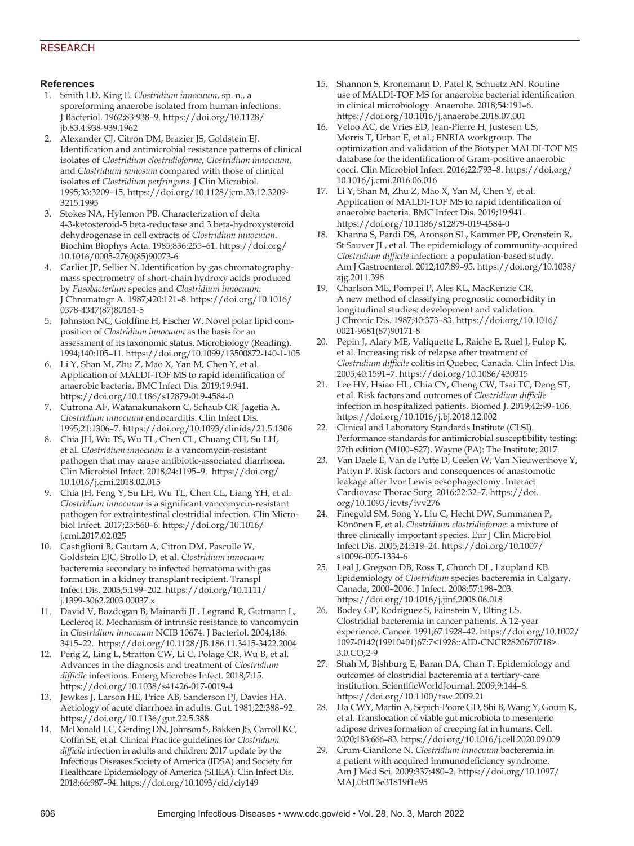# RESEARCH

#### **References**

- 1. Smith LD, King E. *Clostridium innocuum*, sp. n., a sporeforming anaerobe isolated from human infections. J Bacteriol. 1962;83:938–9. https://doi.org/10.1128/ jb.83.4.938-939.1962
- 2. Alexander CJ, Citron DM, Brazier JS, Goldstein EJ. Identification and antimicrobial resistance patterns of clinical isolates of *Clostridium clostridioforme*, *Clostridium innocuum*, and *Clostridium ramosum* compared with those of clinical isolates of *Clostridium perfringens*. J Clin Microbiol. 1995;33:3209–15. https://doi.org/10.1128/jcm.33.12.3209- 3215.1995
- 3. Stokes NA, Hylemon PB. Characterization of delta 4-3-ketosteroid-5 beta-reductase and 3 beta-hydroxysteroid dehydrogenase in cell extracts of *Clostridium innocuum*. Biochim Biophys Acta. 1985;836:255–61. https://doi.org/ 10.1016/0005-2760(85)90073-6
- 4. Carlier JP, Sellier N. Identification by gas chromatographymass spectrometry of short-chain hydroxy acids produced by *Fusobacterium* species and *Clostridium innocuum*. J Chromatogr A. 1987;420:121–8. https://doi.org/10.1016/ 0378-4347(87)80161-5
- 5. Johnston NC, Goldfine H, Fischer W. Novel polar lipid composition of *Clostridium innocuum* as the basis for an assessment of its taxonomic status. Microbiology (Reading). 1994;140:105–11. https://doi.org/10.1099/13500872-140-1-105
- 6. Li Y, Shan M, Zhu Z, Mao X, Yan M, Chen Y, et al. Application of MALDI-TOF MS to rapid identification of anaerobic bacteria. BMC Infect Dis. 2019;19:941. https://doi.org/10.1186/s12879-019-4584-0
- 7. Cutrona AF, Watanakunakorn C, Schaub CR, Jagetia A. *Clostridium innocuum* endocarditis. Clin Infect Dis. 1995;21:1306–7. https://doi.org/10.1093/clinids/21.5.1306
- 8. Chia JH, Wu TS, Wu TL, Chen CL, Chuang CH, Su LH, et al. *Clostridium innocuum* is a vancomycin-resistant pathogen that may cause antibiotic-associated diarrhoea. Clin Microbiol Infect. 2018;24:1195–9. https://doi.org/ 10.1016/j.cmi.2018.02.015
- 9. Chia JH, Feng Y, Su LH, Wu TL, Chen CL, Liang YH, et al. *Clostridium innocuum* is a significant vancomycin-resistant pathogen for extraintestinal clostridial infection. Clin Microbiol Infect. 2017;23:560–6. https://doi.org/10.1016/ j.cmi.2017.02.025
- 10. Castiglioni B, Gautam A, Citron DM, Pasculle W, Goldstein EJC, Strollo D, et al. *Clostridium innocuum* bacteremia secondary to infected hematoma with gas formation in a kidney transplant recipient. Transpl Infect Dis. 2003;5:199–202. https://doi.org/10.1111/ j.1399-3062.2003.00037.x
- 11. David V, Bozdogan B, Mainardi JL, Legrand R, Gutmann L, Leclercq R. Mechanism of intrinsic resistance to vancomycin in *Clostridium innocuum* NCIB 10674. J Bacteriol. 2004;186: 3415–22. https://doi.org/10.1128/JB.186.11.3415-3422.2004
- 12. Peng Z, Ling L, Stratton CW, Li C, Polage CR, Wu B, et al. Advances in the diagnosis and treatment of *Clostridium difficile* infections. Emerg Microbes Infect. 2018;7:15. https://doi.org/10.1038/s41426-017-0019-4
- 13. Jewkes J, Larson HE, Price AB, Sanderson PJ, Davies HA. Aetiology of acute diarrhoea in adults. Gut. 1981;22:388–92. https://doi.org/10.1136/gut.22.5.388
- 14. McDonald LC, Gerding DN, Johnson S, Bakken JS, Carroll KC, Coffin SE, et al. Clinical Practice guidelines for *Clostridium difficile* infection in adults and children: 2017 update by the Infectious Diseases Society of America (IDSA) and Society for Healthcare Epidemiology of America (SHEA). Clin Infect Dis. 2018;66:987–94. https://doi.org/10.1093/cid/ciy149
- 15. Shannon S, Kronemann D, Patel R, Schuetz AN. Routine use of MALDI-TOF MS for anaerobic bacterial identification in clinical microbiology. Anaerobe. 2018;54:191–6. https://doi.org/10.1016/j.anaerobe.2018.07.001
- 16. Veloo AC, de Vries ED, Jean-Pierre H, Justesen US, Morris T, Urban E, et al.; ENRIA workgroup. The optimization and validation of the Biotyper MALDI-TOF MS database for the identification of Gram-positive anaerobic cocci. Clin Microbiol Infect. 2016;22:793–8. https://doi.org/ 10.1016/j.cmi.2016.06.016
- 17. Li Y, Shan M, Zhu Z, Mao X, Yan M, Chen Y, et al. Application of MALDI-TOF MS to rapid identification of anaerobic bacteria. BMC Infect Dis. 2019;19:941. https://doi.org/10.1186/s12879-019-4584-0
- 18. Khanna S, Pardi DS, Aronson SL, Kammer PP, Orenstein R, St Sauver JL, et al. The epidemiology of community-acquired *Clostridium difficile* infection: a population-based study. Am J Gastroenterol. 2012;107:89–95. https://doi.org/10.1038/ ajg.2011.398
- 19. Charlson ME, Pompei P, Ales KL, MacKenzie CR. A new method of classifying prognostic comorbidity in longitudinal studies: development and validation. J Chronic Dis. 1987;40:373–83. https://doi.org/10.1016/ 0021-9681(87)90171-8
- 20. Pepin J, Alary ME, Valiquette L, Raiche E, Ruel J, Fulop K, et al. Increasing risk of relapse after treatment of *Clostridium difficile* colitis in Quebec, Canada. Clin Infect Dis. 2005;40:1591–7. https://doi.org/10.1086/430315
- 21. Lee HY, Hsiao HL, Chia CY, Cheng CW, Tsai TC, Deng ST, et al. Risk factors and outcomes of *Clostridium difficile* infection in hospitalized patients. Biomed J. 2019;42:99–106. https://doi.org/10.1016/j.bj.2018.12.002
- 22. Clinical and Laboratory Standards Institute (CLSI). Performance standards for antimicrobial susceptibility testing: 27th edition (M100–S27). Wayne (PA): The Institute; 2017.
- 23. Van Daele E, Van de Putte D, Ceelen W, Van Nieuwenhove Y, Pattyn P. Risk factors and consequences of anastomotic leakage after Ivor Lewis oesophagectomy. Interact Cardiovasc Thorac Surg. 2016;22:32–7. https://doi. org/10.1093/icvts/ivv276
- 24. Finegold SM, Song Y, Liu C, Hecht DW, Summanen P, Könönen E, et al. *Clostridium clostridioforme*: a mixture of three clinically important species. Eur J Clin Microbiol Infect Dis. 2005;24:319–24. https://doi.org/10.1007/ s10096-005-1334-6
- 25. Leal J, Gregson DB, Ross T, Church DL, Laupland KB. Epidemiology of *Clostridium* species bacteremia in Calgary, Canada, 2000–2006. J Infect. 2008;57:198–203. https://doi.org/10.1016/j.jinf.2008.06.018
- 26. Bodey GP, Rodriguez S, Fainstein V, Elting LS. Clostridial bacteremia in cancer patients. A 12-year experience. Cancer. 1991;67:1928–42. https://doi.org/10.1002/ 1097-0142(19910401)67:7<1928::AID-CNCR2820670718> 3.0.CO;2-9
- 27. Shah M, Bishburg E, Baran DA, Chan T. Epidemiology and outcomes of clostridial bacteremia at a tertiary-care institution. ScientificWorldJournal. 2009;9:144–8. https://doi.org/10.1100/tsw.2009.21
- 28. Ha CWY, Martin A, Sepich-Poore GD, Shi B, Wang Y, Gouin K, et al. Translocation of viable gut microbiota to mesenteric adipose drives formation of creeping fat in humans. Cell. 2020;183:666–83. https://doi.org/10.1016/j.cell.2020.09.009
- 29. Crum-Cianflone N. *Clostridium innocuum* bacteremia in a patient with acquired immunodeficiency syndrome. Am J Med Sci. 2009;337:480–2. https://doi.org/10.1097/ MAJ.0b013e31819f1e95